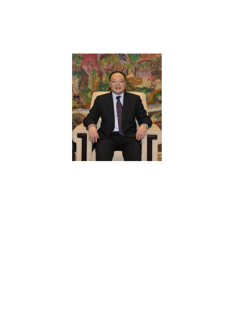